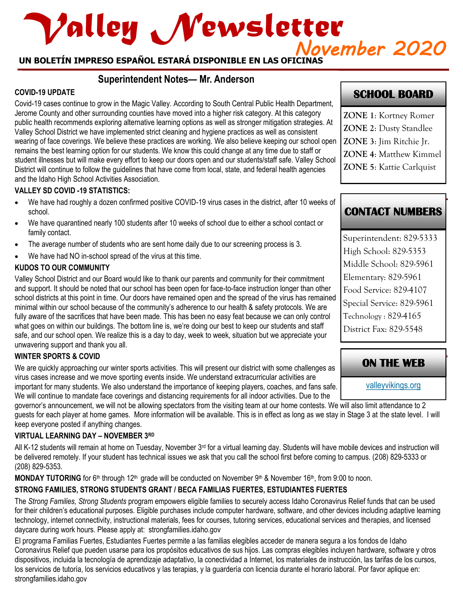# *Valley Newsletter November 2020*

## **UN BOLETÍN IMPRESO ESPAÑOL ESTARÁ DISPONIBLE EN LAS OFICINAS**

## **Superintendent Notes— Mr. Anderson**

#### **COVID-19 UPDATE**

Covid-19 cases continue to grow in the Magic Valley. According to South Central Public Health Department, Jerome County and other surrounding counties have moved into a higher risk category. At this category public health recommends exploring alternative learning options as well as stronger mitigation strategies. At Valley School District we have implemented strict cleaning and hygiene practices as well as consistent wearing of face coverings. We believe these practices are working. We also believe keeping our school open remains the best learning option for our students. We know this could change at any time due to staff or student illnesses but will make every effort to keep our doors open and our students/staff safe. Valley School District will continue to follow the guidelines that have come from local, state, and federal health agencies and the Idaho High School Activities Association.

#### **VALLEY SD COVID -19 STATISTICS:**

- We have had roughly a dozen confirmed positive COVID-19 virus cases in the district, after 10 weeks of school.
- We have quarantined nearly 100 students after 10 weeks of school due to either a school contact or family contact.
- The average number of students who are sent home daily due to our screening process is 3.
- We have had NO in-school spread of the virus at this time.

#### **KUDOS TO OUR COMMUNITY**

Valley School District and our Board would like to thank our parents and community for their commitment and support. It should be noted that our school has been open for face-to-face instruction longer than other school districts at this point in time. Our doors have remained open and the spread of the virus has remained minimal within our school because of the community's adherence to our health & safety protocols. We are fully aware of the sacrifices that have been made. This has been no easy feat because we can only control what goes on within our buildings. The bottom line is, we're doing our best to keep our students and staff safe, and our school open. We realize this is a day to day, week to week, situation but we appreciate your unwavering support and thank you all.

#### **WINTER SPORTS & COVID**

We are quickly approaching our winter sports activities. This will present our district with some challenges as virus cases increase and we move sporting events inside. We understand extracurricular activities are important for many students. We also understand the importance of keeping players, coaches, and fans safe. We will continue to mandate face coverings and distancing requirements for all indoor activities. Due to the

governor's announcement, we will not be allowing spectators from the visiting team at our home contests. We will also limit attendance to 2 guests for each player at home games. More information will be available. This is in effect as long as we stay in Stage 3 at the state level. I will keep everyone posted if anything changes.

#### **VIRTUAL LEARNING DAY – NOVEMBER 3RD**

All K-12 students will remain at home on Tuesday, November 3<sup>rd</sup> for a virtual learning day. Students will have mobile devices and instruction will be delivered remotely. If your student has technical issues we ask that you call the school first before coming to campus. (208) 829-5333 or (208) 829-5353.

**MONDAY TUTORING** for 6<sup>th</sup> through 12<sup>th</sup> grade will be conducted on November 9<sup>th</sup> & November 16<sup>th</sup>, from 9:00 to noon.

#### **STRONG FAMILIES, STRONG STUDENTS GRANT / BECA FAMILIAS FUERTES, ESTUDIANTES FUERTES**

The *Strong Families, Strong Students* program empowers eligible families to securely access Idaho Coronavirus Relief funds that can be used for their children's educational purposes. Eligible purchases include computer hardware, software, and other devices including adaptive learning technology, internet connectivity, instructional materials, fees for courses, tutoring services, educational services and therapies, and licensed daycare during work hours. Please apply at: strongfamilies.idaho.gov

El programa Familias Fuertes, Estudiantes Fuertes permite a las familias elegibles acceder de manera segura a los fondos de Idaho Coronavirus Relief que pueden usarse para los propósitos educativos de sus hijos. Las compras elegibles incluyen hardware, software y otros dispositivos, incluida la tecnología de aprendizaje adaptativo, la conectividad a Internet, los materiales de instrucción, las tarifas de los cursos, los servicios de tutoría, los servicios educativos y las terapias, y la guardería con licencia durante el horario laboral. Por favor aplique en: strongfamilies.idaho.gov

# **SCHOOL BOARD**

**ZONE 1**: Kortney Romer **ZONE 2**: Dusty Standlee **ZONE 3**: Jim Ritchie Jr. **ZONE 4**: Matthew Kimmel **ZONE 5**: Kattie Carlquist

# **CONTACT NUMBERS**

Superintendent: 829-5333 High School: 829-5353 Middle School: 829-5961 Elementary: 829-5961 Food Service: 829-4107 Special Service: 829-5961 Technology : 829-4165 District Fax: 829-5548

# **ON THE WEB**

[valleyvikings.org](http://www.valleyvikings.org/)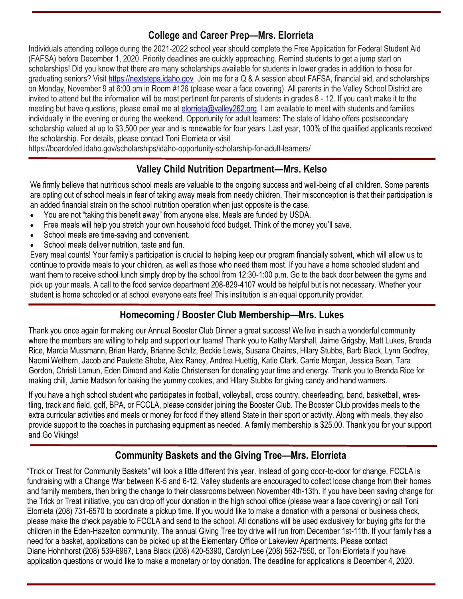# **College and Career Prep—Mrs. Elorrieta**

Individuals attending college during the 2021-2022 school year should complete the Free Application for Federal Student Aid (FAFSA) before December 1, 2020. Priority deadlines are quickly approaching. Remind students to get a jump start on scholarships! Did you know that there are many scholarships available for students in lower grades in addition to those for graduating seniors? Visit [https://nextsteps.idaho.gov](https://nextsteps.idaho.gov/) Join me for a Q & A session about FAFSA, financial aid, and scholarships on Monday, November 9 at 6:00 pm in Room #126 (please wear a face covering). All parents in the Valley School District are invited to attend but the information will be most pertinent for parents of students in grades 8 - 12. If you can't make it to the meeting but have questions, please email me at [elorrieta@valley262.org.](mailto:elorrieta@valley262.org) I am available to meet with students and families individually in the evening or during the weekend. Opportunity for adult learners: The state of Idaho offers postsecondary scholarship valued at up to \$3,500 per year and is renewable for four years. Last year, 100% of the qualified applicants received the scholarship. For details, please contact Toni Elorrieta or visit

https://boardofed.idaho.gov/scholarships/idaho-opportunity-scholarship-for-adult-learners/

## **Valley Child Nutrition Department—Mrs. Kelso**

We firmly believe that nutritious school meals are valuable to the ongoing success and well-being of all children. Some parents are opting out of school meals in fear of taking away meals from needy children. Their misconception is that their participation is an added financial strain on the school nutrition operation when just opposite is the case.

- You are not "taking this benefit away" from anyone else. Meals are funded by USDA.
- Free meals will help you stretch your own household food budget. Think of the money you'll save.
- School meals are time-saving and convenient.
- School meals deliver nutrition, taste and fun.

Every meal counts! Your family's participation is crucial to helping keep our program financially solvent, which will allow us to continue to provide meals to your children, as well as those who need them most. If you have a home schooled student and want them to receive school lunch simply drop by the school from 12:30-1:00 p.m. Go to the back door between the gyms and pick up your meals. A call to the food service department 208-829-4107 would be helpful but is not necessary. Whether your student is home schooled or at school everyone eats free! This institution is an equal opportunity provider.

# **Homecoming / Booster Club Membership—Mrs. Lukes**

Thank you once again for making our Annual Booster Club Dinner a great success! We live in such a wonderful community where the members are willing to help and support our teams! Thank you to Kathy Marshall, Jaime Grigsby, Matt Lukes, Brenda Rice, Marcia Mussmann, Brian Hardy, Brianne Schilz, Beckie Lewis, Susana Chaires, Hilary Stubbs, Barb Black, Lynn Godfrey, Naomi Wethern, Jacob and Paulette Shobe, Alex Raney, Andrea Huettig, Katie Clark, Carrie Morgan, Jessica Bean, Tara Gordon, Christi Lamun, Eden Dimond and Katie Christensen for donating your time and energy. Thank you to Brenda Rice for making chili, Jamie Madson for baking the yummy cookies, and Hilary Stubbs for giving candy and hand warmers.

If you have a high school student who participates in football, volleyball, cross country, cheerleading, band, basketball, wrestling, track and field, golf, BPA, or FCCLA, please consider joining the Booster Club. The Booster Club provides meals to the extra curricular activities and meals or money for food if they attend State in their sport or activity. Along with meals, they also provide support to the coaches in purchasing equipment as needed. A family membership is \$25.00. Thank you for your support and Go Vikings!

# **Community Baskets and the Giving Tree—Mrs. Elorrieta**

"Trick or Treat for Community Baskets" will look a little different this year. Instead of going door-to-door for change, FCCLA is fundraising with a Change War between K-5 and 6-12. Valley students are encouraged to collect loose change from their homes and family members, then bring the change to their classrooms between November 4th-13th. If you have been saving change for the Trick or Treat initiative, you can drop off your donation in the high school office (please wear a face covering) or call Toni Elorrieta (208) 731-6570 to coordinate a pickup time. If you would like to make a donation with a personal or business check, please make the check payable to FCCLA and send to the school. All donations will be used exclusively for buying gifts for the children in the Eden-Hazelton community. The annual Giving Tree toy drive will run from December 1st-11th. If your family has a need for a basket, applications can be picked up at the Elementary Office or Lakeview Apartments. Please contact Diane Hohnhorst (208) 539-6967, Lana Black (208) 420-5390, Carolyn Lee (208) 562-7550, or Toni Elorrieta if you have application questions or would like to make a monetary or toy donation. The deadline for applications is December 4, 2020.